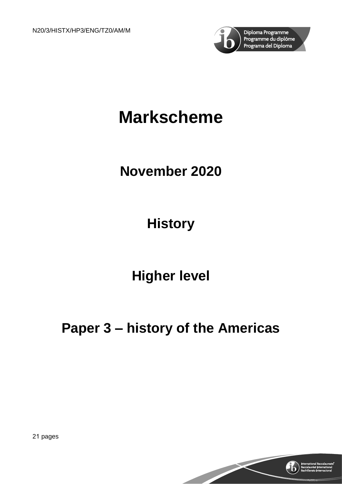

# **Markscheme**

### **November 2020**

# **History**

### **Higher level**

# **Paper 3 – history of the Americas**



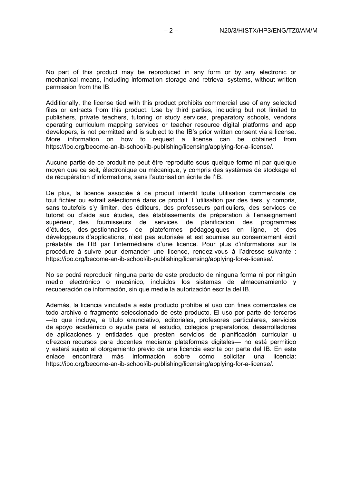No part of this product may be reproduced in any form or by any electronic or mechanical means, including information storage and retrieval systems, without written permission from the IB.

Additionally, the license tied with this product prohibits commercial use of any selected files or extracts from this product. Use by third parties, including but not limited to publishers, private teachers, tutoring or study services, preparatory schools, vendors operating curriculum mapping services or teacher resource digital platforms and app developers, is not permitted and is subject to the IB's prior written consent via a license. More information on how to request a license can be obtained from https://ibo.org/become-an-ib-school/ib-publishing/licensing/applying-for-a-license/.

Aucune partie de ce produit ne peut être reproduite sous quelque forme ni par quelque moyen que ce soit, électronique ou mécanique, y compris des systèmes de stockage et de récupération d'informations, sans l'autorisation écrite de l'IB.

De plus, la licence associée à ce produit interdit toute utilisation commerciale de tout fichier ou extrait sélectionné dans ce produit. L'utilisation par des tiers, y compris, sans toutefois s'y limiter, des éditeurs, des professeurs particuliers, des services de tutorat ou d'aide aux études, des établissements de préparation à l'enseignement supérieur, des fournisseurs de services de planification des programmes d'études, des gestionnaires de plateformes pédagogiques en ligne, et des développeurs d'applications, n'est pas autorisée et est soumise au consentement écrit préalable de l'IB par l'intermédiaire d'une licence. Pour plus d'informations sur la procédure à suivre pour demander une licence, rendez-vous à l'adresse suivante : https://ibo.org/become-an-ib-school/ib-publishing/licensing/applying-for-a-license/.

No se podrá reproducir ninguna parte de este producto de ninguna forma ni por ningún medio electrónico o mecánico, incluidos los sistemas de almacenamiento y recuperación de información, sin que medie la autorización escrita del IB.

Además, la licencia vinculada a este producto prohíbe el uso con fines comerciales de todo archivo o fragmento seleccionado de este producto. El uso por parte de terceros —lo que incluye, a título enunciativo, editoriales, profesores particulares, servicios de apoyo académico o ayuda para el estudio, colegios preparatorios, desarrolladores de aplicaciones y entidades que presten servicios de planificación curricular u ofrezcan recursos para docentes mediante plataformas digitales— no está permitido y estará sujeto al otorgamiento previo de una licencia escrita por parte del IB. En este<br>enlace encontrará más información sobre cómo solicitar una licencia: enlace encontrará más https://ibo.org/become-an-ib-school/ib-publishing/licensing/applying-for-a-license/.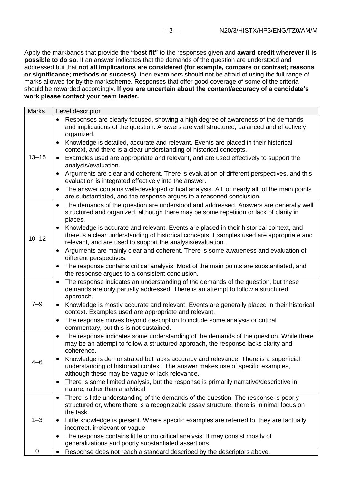Apply the markbands that provide the **"best fit"** to the responses given and **award credit wherever it is possible to do so**. If an answer indicates that the demands of the question are understood and addressed but that **not all implications are considered (for example, compare or contrast; reasons or significance; methods or success)**, then examiners should not be afraid of using the full range of marks allowed for by the markscheme. Responses that offer good coverage of some of the criteria should be rewarded accordingly. **If you are uncertain about the content/accuracy of a candidate's work please contact your team leader.**

| <b>Marks</b> | Level descriptor                                                                                                                                                                                                                                 |
|--------------|--------------------------------------------------------------------------------------------------------------------------------------------------------------------------------------------------------------------------------------------------|
|              | Responses are clearly focused, showing a high degree of awareness of the demands<br>and implications of the question. Answers are well structured, balanced and effectively<br>organized.                                                        |
|              | Knowledge is detailed, accurate and relevant. Events are placed in their historical<br>context, and there is a clear understanding of historical concepts.                                                                                       |
| $13 - 15$    | Examples used are appropriate and relevant, and are used effectively to support the<br>analysis/evaluation.                                                                                                                                      |
|              | Arguments are clear and coherent. There is evaluation of different perspectives, and this<br>evaluation is integrated effectively into the answer.                                                                                               |
|              | The answer contains well-developed critical analysis. All, or nearly all, of the main points<br>$\bullet$<br>are substantiated, and the response argues to a reasoned conclusion.                                                                |
|              | The demands of the question are understood and addressed. Answers are generally well<br>structured and organized, although there may be some repetition or lack of clarity in<br>places.                                                         |
| $10 - 12$    | Knowledge is accurate and relevant. Events are placed in their historical context, and<br>there is a clear understanding of historical concepts. Examples used are appropriate and<br>relevant, and are used to support the analysis/evaluation. |
|              | Arguments are mainly clear and coherent. There is some awareness and evaluation of<br>$\bullet$<br>different perspectives.                                                                                                                       |
|              | The response contains critical analysis. Most of the main points are substantiated, and<br>the response argues to a consistent conclusion.                                                                                                       |
|              | The response indicates an understanding of the demands of the question, but these<br>$\bullet$<br>demands are only partially addressed. There is an attempt to follow a structured<br>approach.                                                  |
| $7 - 9$      | Knowledge is mostly accurate and relevant. Events are generally placed in their historical<br>context. Examples used are appropriate and relevant.                                                                                               |
|              | The response moves beyond description to include some analysis or critical<br>commentary, but this is not sustained.                                                                                                                             |
|              | The response indicates some understanding of the demands of the question. While there<br>$\bullet$<br>may be an attempt to follow a structured approach, the response lacks clarity and<br>coherence.                                            |
| 4–6          | Knowledge is demonstrated but lacks accuracy and relevance. There is a superficial<br>understanding of historical context. The answer makes use of specific examples,<br>although these may be vague or lack relevance.                          |
|              | There is some limited analysis, but the response is primarily narrative/descriptive in<br>$\bullet$<br>nature, rather than analytical.                                                                                                           |
|              | There is little understanding of the demands of the question. The response is poorly<br>$\bullet$<br>structured or, where there is a recognizable essay structure, there is minimal focus on<br>the task.                                        |
| $1 - 3$      | Little knowledge is present. Where specific examples are referred to, they are factually<br>incorrect, irrelevant or vague.                                                                                                                      |
|              | The response contains little or no critical analysis. It may consist mostly of<br>generalizations and poorly substantiated assertions.                                                                                                           |
| 0            | Response does not reach a standard described by the descriptors above.<br>$\bullet$                                                                                                                                                              |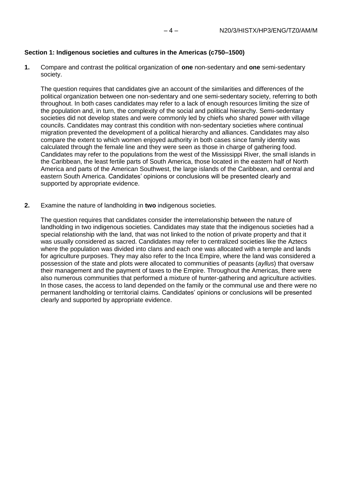#### **Section 1: Indigenous societies and cultures in the Americas (c750–1500)**

**1.** Compare and contrast the political organization of **one** non-sedentary and **one** semi-sedentary society.

The question requires that candidates give an account of the similarities and differences of the political organization between one non-sedentary and one semi-sedentary society, referring to both throughout. In both cases candidates may refer to a lack of enough resources limiting the size of the population and, in turn, the complexity of the social and political hierarchy. Semi-sedentary societies did not develop states and were commonly led by chiefs who shared power with village councils. Candidates may contrast this condition with non-sedentary societies where continual migration prevented the development of a political hierarchy and alliances. Candidates may also compare the extent to which women enjoyed authority in both cases since family identity was calculated through the female line and they were seen as those in charge of gathering food. Candidates may refer to the populations from the west of the Mississippi River, the small islands in the Caribbean, the least fertile parts of South America, those located in the eastern half of North America and parts of the American Southwest, the large islands of the Caribbean, and central and eastern South America. Candidates' opinions or conclusions will be presented clearly and supported by appropriate evidence.

**2.** Examine the nature of landholding in **two** indigenous societies.

The question requires that candidates consider the interrelationship between the nature of landholding in two indigenous societies. Candidates may state that the indigenous societies had a special relationship with the land, that was not linked to the notion of private property and that it was usually considered as sacred. Candidates may refer to centralized societies like the Aztecs where the population was divided into clans and each one was allocated with a temple and lands for agriculture purposes. They may also refer to the Inca Empire, where the land was considered a possession of the state and plots were allocated to communities of peasants (*ayllus*) that oversaw their management and the payment of taxes to the Empire. Throughout the Americas, there were also numerous communities that performed a mixture of hunter-gathering and agriculture activities. In those cases, the access to land depended on the family or the communal use and there were no permanent landholding or territorial claims. Candidates' opinions or conclusions will be presented clearly and supported by appropriate evidence.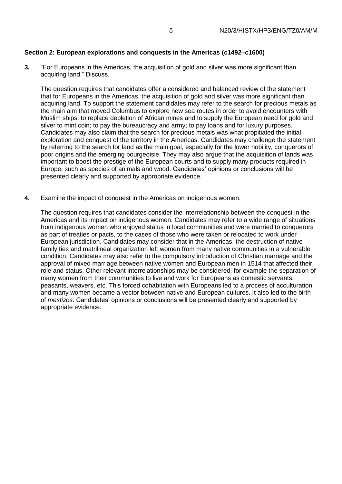#### **Section 2: European explorations and conquests in the Americas (c1492–c1600)**

**3.** "For Europeans in the Americas, the acquisition of gold and silver was more significant than acquiring land." Discuss.

The question requires that candidates offer a considered and balanced review of the statement that for Europeans in the Americas, the acquisition of gold and silver was more significant than acquiring land. To support the statement candidates may refer to the search for precious metals as the main aim that moved Columbus to explore new sea routes in order to avoid encounters with Muslim ships; to replace depletion of African mines and to supply the European need for gold and silver to mint coin; to pay the bureaucracy and army; to pay loans and for luxury purposes. Candidates may also claim that the search for precious metals was what propitiated the initial exploration and conquest of the territory in the Americas. Candidates may challenge the statement by referring to the search for land as the main goal, especially for the lower nobility, conquerors of poor origins and the emerging bourgeoisie. They may also argue that the acquisition of lands was important to boost the prestige of the European courts and to supply many products required in Europe, such as species of animals and wood. Candidates' opinions or conclusions will be presented clearly and supported by appropriate evidence.

**4.** Examine the impact of conquest in the Americas on indigenous women.

The question requires that candidates consider the interrelationship between the conquest in the Americas and its impact on indigenous women. Candidates may refer to a wide range of situations from indigenous women who enjoyed status in local communities and were married to conquerors as part of treaties or pacts, to the cases of those who were taken or relocated to work under European jurisdiction. Candidates may consider that in the Americas, the destruction of native family ties and matrilineal organization left women from many native communities in a vulnerable condition. Candidates may also refer to the compulsory introduction of Christian marriage and the approval of mixed marriage between native women and European men in 1514 that affected their role and status. Other relevant interrelationships may be considered, for example the separation of many women from their communities to live and work for Europeans as domestic servants, peasants, weavers, etc. This forced cohabitation with Europeans led to a process of acculturation and many women became a vector between native and European cultures. It also led to the birth of *mestizos*. Candidates' opinions or conclusions will be presented clearly and supported by appropriate evidence.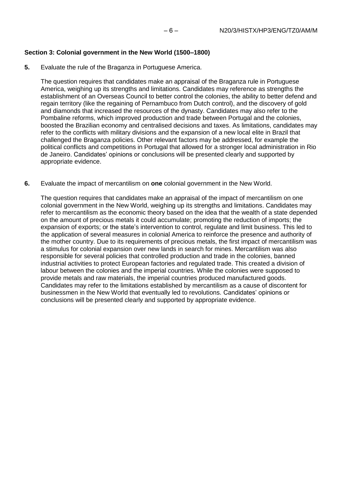### **Section 3: Colonial government in the New World (1500–1800)**

**5.** Evaluate the rule of the Braganza in Portuguese America.

The question requires that candidates make an appraisal of the Braganza rule in Portuguese America, weighing up its strengths and limitations. Candidates may reference as strengths the establishment of an Overseas Council to better control the colonies, the ability to better defend and regain territory (like the regaining of Pernambuco from Dutch control), and the discovery of gold and diamonds that increased the resources of the dynasty. Candidates may also refer to the Pombaline reforms, which improved production and trade between Portugal and the colonies, boosted the Brazilian economy and centralised decisions and taxes. As limitations, candidates may refer to the conflicts with military divisions and the expansion of a new local elite in Brazil that challenged the Braganza policies. Other relevant factors may be addressed, for example the political conflicts and competitions in Portugal that allowed for a stronger local administration in Rio de Janeiro. Candidates' opinions or conclusions will be presented clearly and supported by appropriate evidence.

**6.** Evaluate the impact of mercantilism on **one** colonial government in the New World.

The question requires that candidates make an appraisal of the impact of mercantilism on one colonial government in the New World, weighing up its strengths and limitations. Candidates may refer to mercantilism as the economic theory based on the idea that the wealth of a state depended on the amount of precious metals it could accumulate; promoting the reduction of imports; the expansion of exports; or the state's intervention to control, regulate and limit business. This led to the application of several measures in colonial America to reinforce the presence and authority of the mother country. Due to its requirements of precious metals, the first impact of mercantilism was a stimulus for colonial expansion over new lands in search for mines. Mercantilism was also responsible for several policies that controlled production and trade in the colonies, banned industrial activities to protect European factories and regulated trade. This created a division of labour between the colonies and the imperial countries. While the colonies were supposed to provide metals and raw materials, the imperial countries produced manufactured goods. Candidates may refer to the limitations established by mercantilism as a cause of discontent for businessmen in the New World that eventually led to revolutions. Candidates' opinions or conclusions will be presented clearly and supported by appropriate evidence.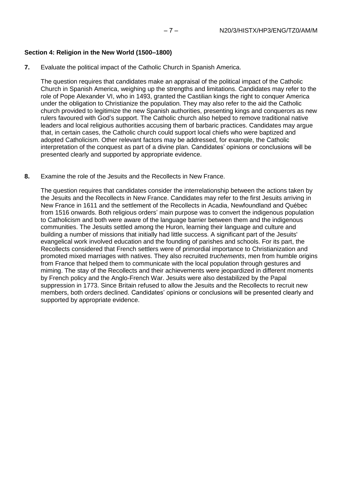#### **Section 4: Religion in the New World (1500–1800)**

**7.** Evaluate the political impact of the Catholic Church in Spanish America.

The question requires that candidates make an appraisal of the political impact of the Catholic Church in Spanish America, weighing up the strengths and limitations. Candidates may refer to the role of Pope Alexander VI, who in 1493, granted the Castilian kings the right to conquer America under the obligation to Christianize the population. They may also refer to the aid the Catholic church provided to legitimize the new Spanish authorities, presenting kings and conquerors as new rulers favoured with God's support. The Catholic church also helped to remove traditional native leaders and local religious authorities accusing them of barbaric practices. Candidates may argue that, in certain cases, the Catholic church could support local chiefs who were baptized and adopted Catholicism. Other relevant factors may be addressed, for example, the Catholic interpretation of the conquest as part of a divine plan. Candidates' opinions or conclusions will be presented clearly and supported by appropriate evidence.

**8.** Examine the role of the Jesuits and the Recollects in New France.

The question requires that candidates consider the interrelationship between the actions taken by the Jesuits and the Recollects in New France. Candidates may refer to the first Jesuits arriving in New France in 1611 and the settlement of the Recollects in Acadia, Newfoundland and Québec from 1516 onwards. Both religious orders' main purpose was to convert the indigenous population to Catholicism and both were aware of the language barrier between them and the indigenous communities. The Jesuits settled among the Huron, learning their language and culture and building a number of missions that initially had little success. A significant part of the Jesuits' evangelical work involved education and the founding of parishes and schools. For its part, the Recollects considered that French settlers were of primordial importance to Christianization and promoted mixed marriages with natives. They also recruited *truchements*, men from humble origins from France that helped them to communicate with the local population through gestures and miming. The stay of the Recollects and their achievements were jeopardized in different moments by French policy and the Anglo-French War. Jesuits were also destabilized by the Papal suppression in 1773. Since Britain refused to allow the Jesuits and the Recollects to recruit new members, both orders declined. Candidates' opinions or conclusions will be presented clearly and supported by appropriate evidence.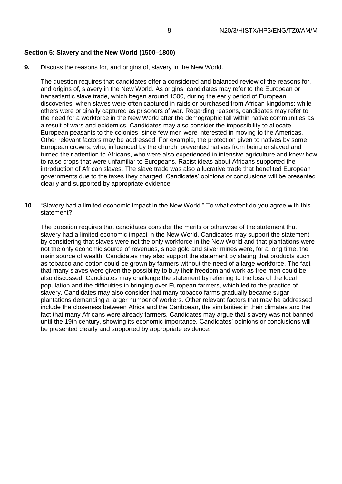#### **Section 5: Slavery and the New World (1500–1800)**

**9.** Discuss the reasons for, and origins of, slavery in the New World.

The question requires that candidates offer a considered and balanced review of the reasons for, and origins of, slavery in the New World. As origins, candidates may refer to the European or transatlantic slave trade, which began around 1500, during the early period of European discoveries, when slaves were often captured in raids or purchased from African kingdoms; while others were originally captured as prisoners of war. Regarding reasons, candidates may refer to the need for a workforce in the New World after the demographic fall within native communities as a result of wars and epidemics. Candidates may also consider the impossibility to allocate European peasants to the colonies, since few men were interested in moving to the Americas. Other relevant factors may be addressed. For example, the protection given to natives by some European crowns, who, influenced by the church, prevented natives from being enslaved and turned their attention to Africans, who were also experienced in intensive agriculture and knew how to raise crops that were unfamiliar to Europeans. Racist ideas about Africans supported the introduction of African slaves. The slave trade was also a lucrative trade that benefited European governments due to the taxes they charged. Candidates' opinions or conclusions will be presented clearly and supported by appropriate evidence.

**10.** "Slavery had a limited economic impact in the New World." To what extent do you agree with this statement?

The question requires that candidates consider the merits or otherwise of the statement that slavery had a limited economic impact in the New World. Candidates may support the statement by considering that slaves were not the only workforce in the New World and that plantations were not the only economic source of revenues, since gold and silver mines were, for a long time, the main source of wealth. Candidates may also support the statement by stating that products such as tobacco and cotton could be grown by farmers without the need of a large workforce. The fact that many slaves were given the possibility to buy their freedom and work as free men could be also discussed. Candidates may challenge the statement by referring to the loss of the local population and the difficulties in bringing over European farmers, which led to the practice of slavery. Candidates may also consider that many tobacco farms gradually became sugar plantations demanding a larger number of workers. Other relevant factors that may be addressed include the closeness between Africa and the Caribbean, the similarities in their climates and the fact that many Africans were already farmers. Candidates may argue that slavery was not banned until the 19th century, showing its economic importance. Candidates' opinions or conclusions will be presented clearly and supported by appropriate evidence.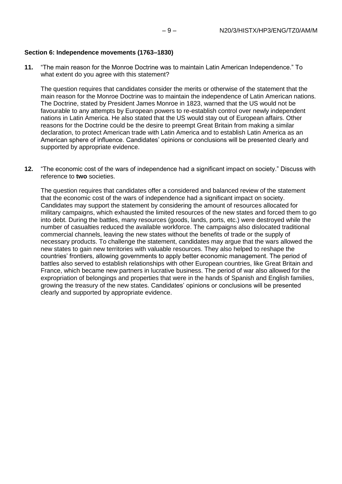#### **Section 6: Independence movements (1763–1830)**

**11.** "The main reason for the Monroe Doctrine was to maintain Latin American Independence." To what extent do you agree with this statement?

The question requires that candidates consider the merits or otherwise of the statement that the main reason for the Monroe Doctrine was to maintain the independence of Latin American nations. The Doctrine, stated by President James Monroe in 1823, warned that the US would not be favourable to any attempts by European powers to re-establish control over newly independent nations in Latin America. He also stated that the US would stay out of European affairs. Other reasons for the Doctrine could be the desire to preempt Great Britain from making a similar declaration, to protect American trade with Latin America and to establish Latin America as an American sphere of influence. Candidates' opinions or conclusions will be presented clearly and supported by appropriate evidence.

**12.** "The economic cost of the wars of independence had a significant impact on society." Discuss with reference to **two** societies.

The question requires that candidates offer a considered and balanced review of the statement that the economic cost of the wars of independence had a significant impact on society. Candidates may support the statement by considering the amount of resources allocated for military campaigns, which exhausted the limited resources of the new states and forced them to go into debt. During the battles, many resources (goods, lands, ports, etc.) were destroyed while the number of casualties reduced the available workforce. The campaigns also dislocated traditional commercial channels, leaving the new states without the benefits of trade or the supply of necessary products. To challenge the statement, candidates may argue that the wars allowed the new states to gain new territories with valuable resources. They also helped to reshape the countries' frontiers, allowing governments to apply better economic management. The period of battles also served to establish relationships with other European countries, like Great Britain and France, which became new partners in lucrative business. The period of war also allowed for the expropriation of belongings and properties that were in the hands of Spanish and English families, growing the treasury of the new states. Candidates' opinions or conclusions will be presented clearly and supported by appropriate evidence.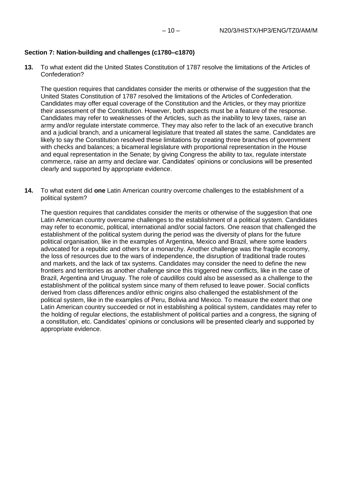#### **Section 7: Nation-building and challenges (c1780–c1870)**

**13.** To what extent did the United States Constitution of 1787 resolve the limitations of the Articles of Confederation?

The question requires that candidates consider the merits or otherwise of the suggestion that the United States Constitution of 1787 resolved the limitations of the Articles of Confederation. Candidates may offer equal coverage of the Constitution and the Articles, or they may prioritize their assessment of the Constitution. However, both aspects must be a feature of the response. Candidates may refer to weaknesses of the Articles, such as the inability to levy taxes, raise an army and/or regulate interstate commerce. They may also refer to the lack of an executive branch and a judicial branch, and a unicameral legislature that treated all states the same. Candidates are likely to say the Constitution resolved these limitations by creating three branches of government with checks and balances; a bicameral legislature with proportional representation in the House and equal representation in the Senate; by giving Congress the ability to tax, regulate interstate commerce, raise an army and declare war. Candidates' opinions or conclusions will be presented clearly and supported by appropriate evidence.

**14.** To what extent did **one** Latin American country overcome challenges to the establishment of a political system?

The question requires that candidates consider the merits or otherwise of the suggestion that one Latin American country overcame challenges to the establishment of a political system. Candidates may refer to economic, political, international and/or social factors. One reason that challenged the establishment of the political system during the period was the diversity of plans for the future political organisation, like in the examples of Argentina, Mexico and Brazil, where some leaders advocated for a republic and others for a monarchy. Another challenge was the fragile economy, the loss of resources due to the wars of independence, the disruption of traditional trade routes and markets, and the lack of tax systems. Candidates may consider the need to define the new frontiers and territories as another challenge since this triggered new conflicts, like in the case of Brazil, Argentina and Uruguay. The role of *caudillos* could also be assessed as a challenge to the establishment of the political system since many of them refused to leave power. Social conflicts derived from class differences and/or ethnic origins also challenged the establishment of the political system, like in the examples of Peru, Bolivia and Mexico. To measure the extent that one Latin American country succeeded or not in establishing a political system, candidates may refer to the holding of regular elections, the establishment of political parties and a congress, the signing of a constitution, etc. Candidates' opinions or conclusions will be presented clearly and supported by appropriate evidence.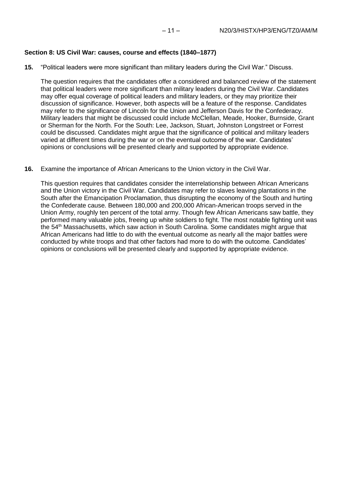#### **Section 8: US Civil War: causes, course and effects (1840–1877)**

**15.** "Political leaders were more significant than military leaders during the Civil War." Discuss.

The question requires that the candidates offer a considered and balanced review of the statement that political leaders were more significant than military leaders during the Civil War. Candidates may offer equal coverage of political leaders and military leaders, or they may prioritize their discussion of significance. However, both aspects will be a feature of the response. Candidates may refer to the significance of Lincoln for the Union and Jefferson Davis for the Confederacy. Military leaders that might be discussed could include McClellan, Meade, Hooker, Burnside, Grant or Sherman for the North. For the South: Lee, Jackson, Stuart, Johnston Longstreet or Forrest could be discussed. Candidates might argue that the significance of political and military leaders varied at different times during the war or on the eventual outcome of the war. Candidates' opinions or conclusions will be presented clearly and supported by appropriate evidence.

#### **16.** Examine the importance of African Americans to the Union victory in the Civil War.

This question requires that candidates consider the interrelationship between African Americans and the Union victory in the Civil War. Candidates may refer to slaves leaving plantations in the South after the Emancipation Proclamation, thus disrupting the economy of the South and hurting the Confederate cause. Between 180,000 and 200,000 African-American troops served in the Union Army, roughly ten percent of the total army. Though few African Americans saw battle, they performed many valuable jobs, freeing up white soldiers to fight. The most notable fighting unit was the 54th Massachusetts, which saw action in South Carolina. Some candidates might argue that African Americans had little to do with the eventual outcome as nearly all the major battles were conducted by white troops and that other factors had more to do with the outcome. Candidates' opinions or conclusions will be presented clearly and supported by appropriate evidence.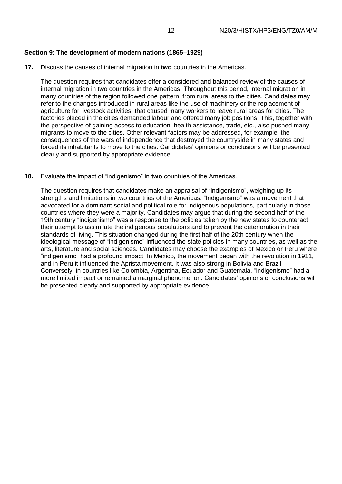### **Section 9: The development of modern nations (1865–1929)**

**17.** Discuss the causes of internal migration in **two** countries in the Americas.

The question requires that candidates offer a considered and balanced review of the causes of internal migration in two countries in the Americas. Throughout this period, internal migration in many countries of the region followed one pattern: from rural areas to the cities. Candidates may refer to the changes introduced in rural areas like the use of machinery or the replacement of agriculture for livestock activities, that caused many workers to leave rural areas for cities. The factories placed in the cities demanded labour and offered many job positions. This, together with the perspective of gaining access to education, health assistance, trade, etc., also pushed many migrants to move to the cities. Other relevant factors may be addressed, for example, the consequences of the wars of independence that destroyed the countryside in many states and forced its inhabitants to move to the cities. Candidates' opinions or conclusions will be presented clearly and supported by appropriate evidence.

**18.** Evaluate the impact of "indigenismo" in **two** countries of the Americas.

The question requires that candidates make an appraisal of "indigenismo", weighing up its strengths and limitations in two countries of the Americas. "Indigenismo" was a movement that advocated for a dominant social and political role for indigenous populations, particularly in those countries where they were a majority. Candidates may argue that during the second half of the 19th century "indigenismo" was a response to the policies taken by the new states to counteract their attempt to assimilate the indigenous populations and to prevent the deterioration in their standards of living. This situation changed during the first half of the 20th century when the ideological message of "indigenismo" influenced the state policies in many countries, as well as the arts, literature and social sciences. Candidates may choose the examples of Mexico or Peru where "indigenismo" had a profound impact. In Mexico, the movement began with the revolution in 1911, and in Peru it influenced the Aprista movement. It was also strong in Bolivia and Brazil. Conversely, in countries like Colombia, Argentina, Ecuador and Guatemala, "indigenismo" had a more limited impact or remained a marginal phenomenon. Candidates' opinions or conclusions will be presented clearly and supported by appropriate evidence.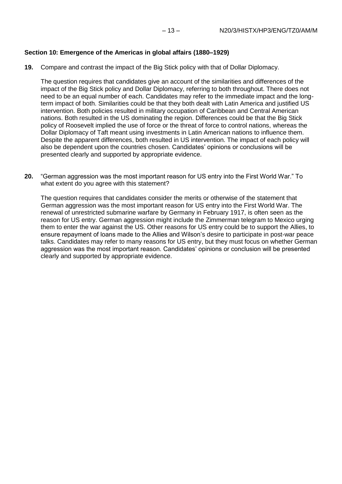### **Section 10: Emergence of the Americas in global affairs (1880–1929)**

**19.** Compare and contrast the impact of the Big Stick policy with that of Dollar Diplomacy.

The question requires that candidates give an account of the similarities and differences of the impact of the Big Stick policy and Dollar Diplomacy, referring to both throughout. There does not need to be an equal number of each. Candidates may refer to the immediate impact and the longterm impact of both. Similarities could be that they both dealt with Latin America and justified US intervention. Both policies resulted in military occupation of Caribbean and Central American nations. Both resulted in the US dominating the region. Differences could be that the Big Stick policy of Roosevelt implied the use of force or the threat of force to control nations, whereas the Dollar Diplomacy of Taft meant using investments in Latin American nations to influence them. Despite the apparent differences, both resulted in US intervention. The impact of each policy will also be dependent upon the countries chosen. Candidates' opinions or conclusions will be presented clearly and supported by appropriate evidence.

**20.** "German aggression was the most important reason for US entry into the First World War." To what extent do you agree with this statement?

The question requires that candidates consider the merits or otherwise of the statement that German aggression was the most important reason for US entry into the First World War. The renewal of unrestricted submarine warfare by Germany in February 1917, is often seen as the reason for US entry. German aggression might include the Zimmerman telegram to Mexico urging them to enter the war against the US. Other reasons for US entry could be to support the Allies, to ensure repayment of loans made to the Allies and Wilson's desire to participate in post-war peace talks. Candidates may refer to many reasons for US entry, but they must focus on whether German aggression was the most important reason. Candidates' opinions or conclusion will be presented clearly and supported by appropriate evidence.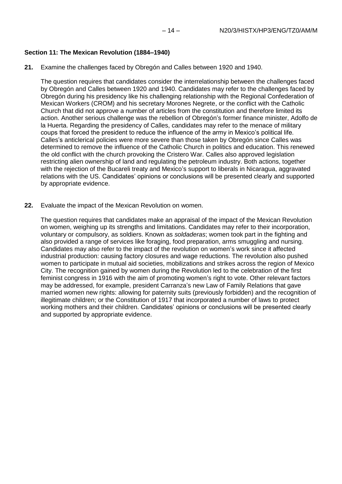#### **Section 11: The Mexican Revolution (1884–1940)**

**21.** Examine the challenges faced by Obregón and Calles between 1920 and 1940.

The question requires that candidates consider the interrelationship between the challenges faced by Obregón and Calles between 1920 and 1940. Candidates may refer to the challenges faced by Obregón during his presidency like his challenging relationship with the Regional Confederation of Mexican Workers (CROM) and his secretary Morones Negrete, or the conflict with the Catholic Church that did not approve a number of articles from the constitution and therefore limited its action. Another serious challenge was the rebellion of Obregón's former finance minister, Adolfo de la Huerta. Regarding the presidency of Calles, candidates may refer to the menace of military coups that forced the president to reduce the influence of the army in Mexico's political life. Calles's anticlerical policies were more severe than those taken by Obregón since Calles was determined to remove the influence of the Catholic Church in politics and education. This renewed the old conflict with the church provoking the Cristero War. Calles also approved legislation restricting alien ownership of land and regulating the petroleum industry. Both actions, together with the rejection of the Bucareli treaty and Mexico's support to liberals in Nicaragua, aggravated relations with the US. Candidates' opinions or conclusions will be presented clearly and supported by appropriate evidence.

**22.** Evaluate the impact of the Mexican Revolution on women.

The question requires that candidates make an appraisal of the impact of the Mexican Revolution on women, weighing up its strengths and limitations. Candidates may refer to their incorporation, voluntary or compulsory, as soldiers. Known as *soldaderas*; women took part in the fighting and also provided a range of services like foraging, food preparation, arms smuggling and nursing. Candidates may also refer to the impact of the revolution on women's work since it affected industrial production: causing factory closures and wage reductions. The revolution also pushed women to participate in mutual aid societies, mobilizations and strikes across the region of Mexico City. The recognition gained by women during the Revolution led to the celebration of the first feminist congress in 1916 with the aim of promoting women's right to vote. Other relevant factors may be addressed, for example, president Carranza's new Law of Family Relations that gave married women new rights: allowing for paternity suits (previously forbidden) and the recognition of illegitimate children; or the Constitution of 1917 that incorporated a number of laws to protect working mothers and their children. Candidates' opinions or conclusions will be presented clearly and supported by appropriate evidence.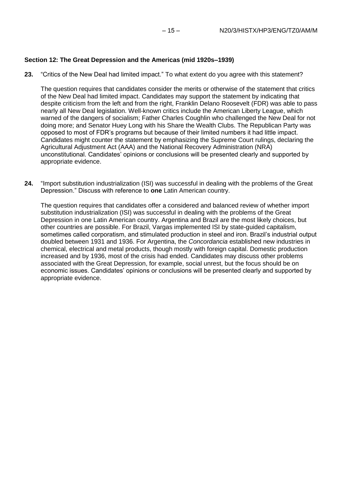### **Section 12: The Great Depression and the Americas (mid 1920s–1939)**

**23.** "Critics of the New Deal had limited impact." To what extent do you agree with this statement?

The question requires that candidates consider the merits or otherwise of the statement that critics of the New Deal had limited impact. Candidates may support the statement by indicating that despite criticism from the left and from the right, Franklin Delano Roosevelt (FDR) was able to pass nearly all New Deal legislation. Well-known critics include the American Liberty League, which warned of the dangers of socialism; Father Charles Coughlin who challenged the New Deal for not doing more; and Senator Huey Long with his Share the Wealth Clubs. The Republican Party was opposed to most of FDR's programs but because of their limited numbers it had little impact. Candidates might counter the statement by emphasizing the Supreme Court rulings, declaring the Agricultural Adjustment Act (AAA) and the National Recovery Administration (NRA) unconstitutional. Candidates' opinions or conclusions will be presented clearly and supported by appropriate evidence.

**24.** "Import substitution industrialization (ISI) was successful in dealing with the problems of the Great Depression." Discuss with reference to **one** Latin American country.

The question requires that candidates offer a considered and balanced review of whether import substitution industrialization (ISI) was successful in dealing with the problems of the Great Depression in one Latin American country. Argentina and Brazil are the most likely choices, but other countries are possible. For Brazil, Vargas implemented ISI by state-guided capitalism, sometimes called corporatism, and stimulated production in steel and iron. Brazil's industrial output doubled between 1931 and 1936. For Argentina, the *Concordancia* established new industries in chemical, electrical and metal products, though mostly with foreign capital. Domestic production increased and by 1936, most of the crisis had ended. Candidates may discuss other problems associated with the Great Depression, for example, social unrest, but the focus should be on economic issues. Candidates' opinions or conclusions will be presented clearly and supported by appropriate evidence.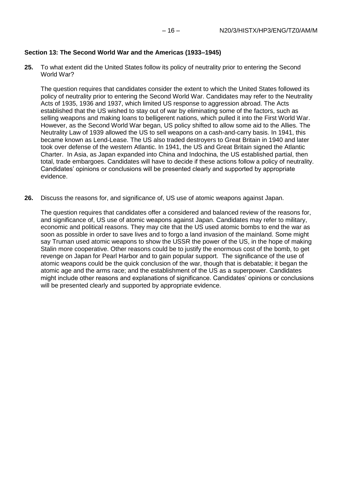### **Section 13: The Second World War and the Americas (1933–1945)**

**25.** To what extent did the United States follow its policy of neutrality prior to entering the Second World War?

The question requires that candidates consider the extent to which the United States followed its policy of neutrality prior to entering the Second World War. Candidates may refer to the Neutrality Acts of 1935, 1936 and 1937, which limited US response to aggression abroad. The Acts established that the US wished to stay out of war by eliminating some of the factors, such as selling weapons and making loans to belligerent nations, which pulled it into the First World War. However, as the Second World War began, US policy shifted to allow some aid to the Allies. The Neutrality Law of 1939 allowed the US to sell weapons on a cash-and-carry basis. In 1941, this became known as Lend-Lease. The US also traded destroyers to Great Britain in 1940 and later took over defense of the western Atlantic. In 1941, the US and Great Britain signed the Atlantic Charter. In Asia, as Japan expanded into China and Indochina, the US established partial, then total, trade embargoes. Candidates will have to decide if these actions follow a policy of neutrality. Candidates' opinions or conclusions will be presented clearly and supported by appropriate evidence.

**26.** Discuss the reasons for, and significance of, US use of atomic weapons against Japan.

The question requires that candidates offer a considered and balanced review of the reasons for, and significance of, US use of atomic weapons against Japan. Candidates may refer to military, economic and political reasons. They may cite that the US used atomic bombs to end the war as soon as possible in order to save lives and to forgo a land invasion of the mainland. Some might say Truman used atomic weapons to show the USSR the power of the US, in the hope of making Stalin more cooperative. Other reasons could be to justify the enormous cost of the bomb, to get revenge on Japan for Pearl Harbor and to gain popular support. The significance of the use of atomic weapons could be the quick conclusion of the war, though that is debatable; it began the atomic age and the arms race; and the establishment of the US as a superpower. Candidates might include other reasons and explanations of significance. Candidates' opinions or conclusions will be presented clearly and supported by appropriate evidence.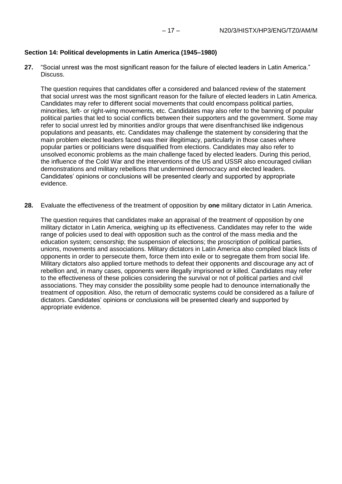### **Section 14: Political developments in Latin America (1945–1980)**

**27.** "Social unrest was the most significant reason for the failure of elected leaders in Latin America." Discuss.

The question requires that candidates offer a considered and balanced review of the statement that social unrest was the most significant reason for the failure of elected leaders in Latin America. Candidates may refer to different social movements that could encompass political parties, minorities, left- or right-wing movements, etc. Candidates may also refer to the banning of popular political parties that led to social conflicts between their supporters and the government. Some may refer to social unrest led by minorities and/or groups that were disenfranchised like indigenous populations and peasants, etc. Candidates may challenge the statement by considering that the main problem elected leaders faced was their illegitimacy, particularly in those cases where popular parties or politicians were disqualified from elections. Candidates may also refer to unsolved economic problems as the main challenge faced by elected leaders. During this period, the influence of the Cold War and the interventions of the US and USSR also encouraged civilian demonstrations and military rebellions that undermined democracy and elected leaders. Candidates' opinions or conclusions will be presented clearly and supported by appropriate evidence.

**28.** Evaluate the effectiveness of the treatment of opposition by **one** military dictator in Latin America.

The question requires that candidates make an appraisal of the treatment of opposition by one military dictator in Latin America, weighing up its effectiveness. Candidates may refer to the wide range of policies used to deal with opposition such as the control of the mass media and the education system; censorship; the suspension of elections; the proscription of political parties, unions, movements and associations. Military dictators in Latin America also compiled black lists of opponents in order to persecute them, force them into exile or to segregate them from social life. Military dictators also applied torture methods to defeat their opponents and discourage any act of rebellion and, in many cases, opponents were illegally imprisoned or killed. Candidates may refer to the effectiveness of these policies considering the survival or not of political parties and civil associations. They may consider the possibility some people had to denounce internationally the treatment of opposition. Also, the return of democratic systems could be considered as a failure of dictators. Candidates' opinions or conclusions will be presented clearly and supported by appropriate evidence.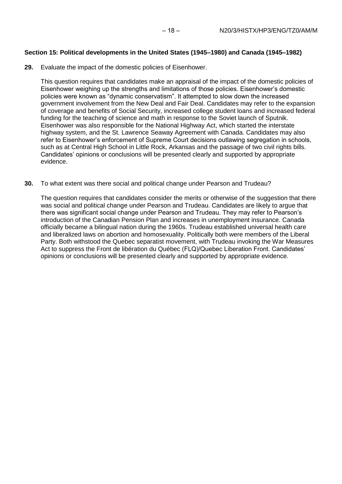### **Section 15: Political developments in the United States (1945–1980) and Canada (1945–1982)**

**29.** Evaluate the impact of the domestic policies of Eisenhower.

This question requires that candidates make an appraisal of the impact of the domestic policies of Eisenhower weighing up the strengths and limitations of those policies. Eisenhower's domestic policies were known as "dynamic conservatism". It attempted to slow down the increased government involvement from the New Deal and Fair Deal. Candidates may refer to the expansion of coverage and benefits of Social Security, increased college student loans and increased federal funding for the teaching of science and math in response to the Soviet launch of Sputnik. Eisenhower was also responsible for the National Highway Act, which started the interstate highway system, and the St. Lawrence Seaway Agreement with Canada. Candidates may also refer to Eisenhower's enforcement of Supreme Court decisions outlawing segregation in schools, such as at Central High School in Little Rock, Arkansas and the passage of two civil rights bills. Candidates' opinions or conclusions will be presented clearly and supported by appropriate evidence.

**30.** To what extent was there social and political change under Pearson and Trudeau?

The question requires that candidates consider the merits or otherwise of the suggestion that there was social and political change under Pearson and Trudeau. Candidates are likely to argue that there was significant social change under Pearson and Trudeau. They may refer to Pearson's introduction of the Canadian Pension Plan and increases in unemployment insurance. Canada officially became a bilingual nation during the 1960s. Trudeau established universal health care and liberalized laws on abortion and homosexuality. Politically both were members of the Liberal Party. Both withstood the Quebec separatist movement, with Trudeau invoking the War Measures Act to suppress the Front de libération du Québec (FLQ)/Quebec Liberation Front. Candidates' opinions or conclusions will be presented clearly and supported by appropriate evidence.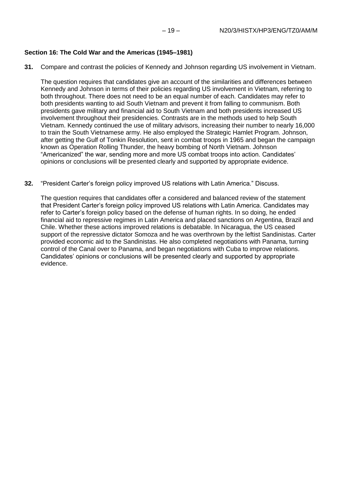#### **Section 16: The Cold War and the Americas (1945–1981)**

**31.** Compare and contrast the policies of Kennedy and Johnson regarding US involvement in Vietnam.

The question requires that candidates give an account of the similarities and differences between Kennedy and Johnson in terms of their policies regarding US involvement in Vietnam, referring to both throughout. There does not need to be an equal number of each. Candidates may refer to both presidents wanting to aid South Vietnam and prevent it from falling to communism. Both presidents gave military and financial aid to South Vietnam and both presidents increased US involvement throughout their presidencies. Contrasts are in the methods used to help South Vietnam. Kennedy continued the use of military advisors, increasing their number to nearly 16,000 to train the South Vietnamese army. He also employed the Strategic Hamlet Program. Johnson, after getting the Gulf of Tonkin Resolution, sent in combat troops in 1965 and began the campaign known as Operation Rolling Thunder, the heavy bombing of North Vietnam. Johnson "Americanized" the war, sending more and more US combat troops into action. Candidates' opinions or conclusions will be presented clearly and supported by appropriate evidence.

**32.** "President Carter's foreign policy improved US relations with Latin America." Discuss.

The question requires that candidates offer a considered and balanced review of the statement that President Carter's foreign policy improved US relations with Latin America. Candidates may refer to Carter's foreign policy based on the defense of human rights. In so doing, he ended financial aid to repressive regimes in Latin America and placed sanctions on Argentina, Brazil and Chile. Whether these actions improved relations is debatable. In Nicaragua, the US ceased support of the repressive dictator Somoza and he was overthrown by the leftist Sandinistas. Carter provided economic aid to the Sandinistas. He also completed negotiations with Panama, turning control of the Canal over to Panama, and began negotiations with Cuba to improve relations. Candidates' opinions or conclusions will be presented clearly and supported by appropriate evidence.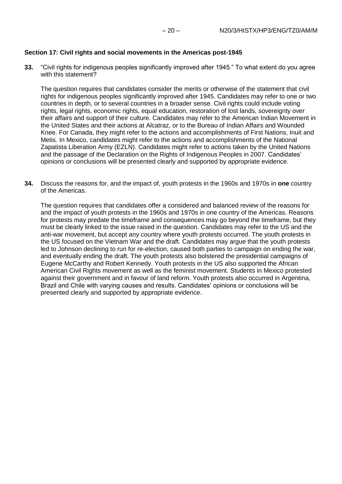#### **Section 17: Civil rights and social movements in the Americas post-1945**

**33.** "Civil rights for indigenous peoples significantly improved after 1945." To what extent do you agree with this statement?

The question requires that candidates consider the merits or otherwise of the statement that civil rights for indigenous peoples significantly improved after 1945. Candidates may refer to one or two countries in depth, or to several countries in a broader sense. Civil rights could include voting rights, legal rights, economic rights, equal education, restoration of lost lands, sovereignty over their affairs and support of their culture. Candidates may refer to the American Indian Movement in the United States and their actions at Alcatraz, or to the Bureau of Indian Affairs and Wounded Knee. For Canada, they might refer to the actions and accomplishments of First Nations, Inuit and Metis. In Mexico, candidates might refer to the actions and accomplishments of the National Zapatista Liberation Army (EZLN). Candidates might refer to actions taken by the United Nations and the passage of the Declaration on the Rights of Indigenous Peoples in 2007. Candidates' opinions or conclusions will be presented clearly and supported by appropriate evidence.

**34.** Discuss the reasons for, and the impact of, youth protests in the 1960s and 1970s in **one** country of the Americas.

The question requires that candidates offer a considered and balanced review of the reasons for and the impact of youth protests in the 1960s and 1970s in one country of the Americas. Reasons for protests may predate the timeframe and consequences may go beyond the timeframe, but they must be clearly linked to the issue raised in the question. Candidates may refer to the US and the anti-war movement, but accept any country where youth protests occurred. The youth protests in the US focused on the Vietnam War and the draft. Candidates may argue that the youth protests led to Johnson declining to run for re-election, caused both parties to campaign on ending the war, and eventually ending the draft. The youth protests also bolstered the presidential campaigns of Eugene McCarthy and Robert Kennedy. Youth protests in the US also supported the African American Civil Rights movement as well as the feminist movement. Students in Mexico protested against their government and in favour of land reform. Youth protests also occurred in Argentina, Brazil and Chile with varying causes and results. Candidates' opinions or conclusions will be presented clearly and supported by appropriate evidence.